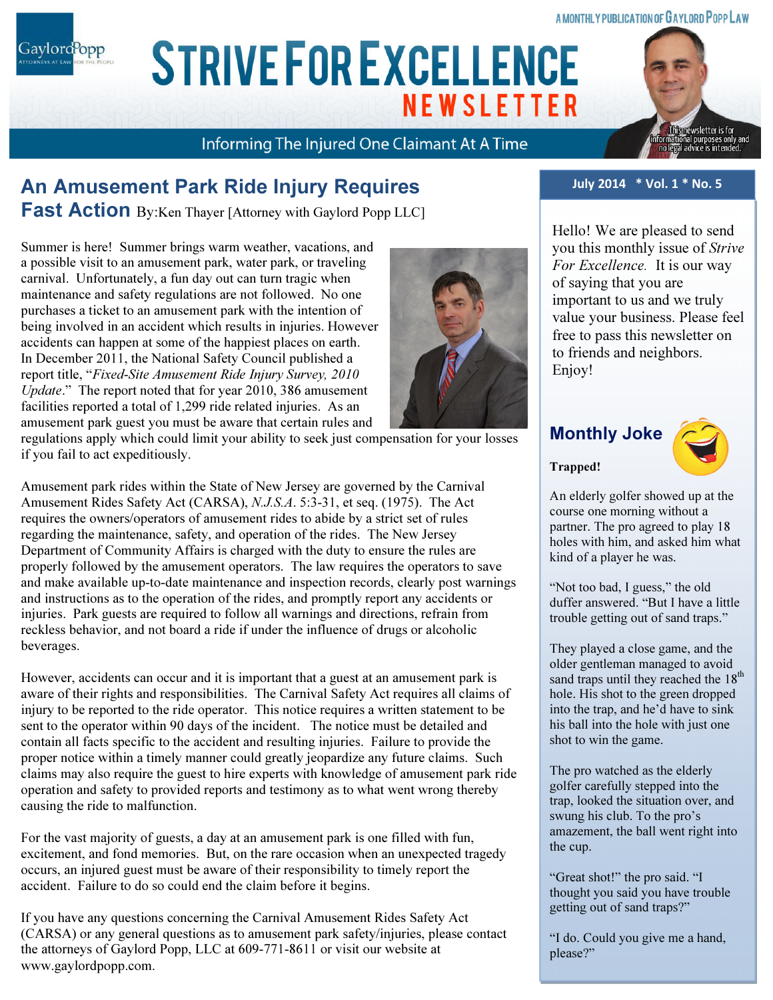### A MONTHLY PUBLICATION OF GAYLORD POPP LAW

Gaylord<sup>P</sup>opp

# ARIAL 15 POINT BOLD CAPS FOR CO. NAME **STRIVE FOR EXCELLENCE NEWSLETTER**

# Informing The Injured One Claimant At A Time

# An Amusement Park Ride Injury Requires

**Fast Action** By:Ken Thayer [Attorney with Gaylord Popp LLC]

Summer is here! Summer brings warm weather, vacations, and a possible visit to an amusement park, water park, or traveling carnival. Unfortunately, a fun day out can turn tragic when maintenance and safety regulations are not followed. No one purchases a ticket to an amusement park with the intention of being involved in an accident which results in injuries. However accidents can happen at some of the happiest places on earth. In December 2011, the National Safety Council published a report title, "Fixed-Site Amusement Ride Injury Survey, 2010 Update." The report noted that for year 2010, 386 amusement facilities reported a total of 1,299 ride related injuries. As an amusement park guest you must be aware that certain rules and

regulations apply which could limit your ability to seek just compensation for your losses if you fail to act expeditiously.

Amusement park rides within the State of New Jersey are governed by the Carnival Amusement Rides Safety Act (CARSA), N.J.S.A. 5:3-31, et seq. (1975). The Act requires the owners/operators of amusement rides to abide by a strict set of rules regarding the maintenance, safety, and operation of the rides. The New Jersey Department of Community Affairs is charged with the duty to ensure the rules are properly followed by the amusement operators. The law requires the operators to save and make available up-to-date maintenance and inspection records, clearly post warnings and instructions as to the operation of the rides, and promptly report any accidents or injuries. Park guests are required to follow all warnings and directions, refrain from reckless behavior, and not board a ride if under the influence of drugs or alcoholic beverages.

However, accidents can occur and it is important that a guest at an amusement park is aware of their rights and responsibilities. The Carnival Safety Act requires all claims of injury to be reported to the ride operator. This notice requires a written statement to be sent to the operator within 90 days of the incident. The notice must be detailed and contain all facts specific to the accident and resulting injuries. Failure to provide the proper notice within a timely manner could greatly jeopardize any future claims. Such claims may also require the guest to hire experts with knowledge of amusement park ride operation and safety to provided reports and testimony as to what went wrong thereby causing the ride to malfunction.

For the vast majority of guests, a day at an amusement park is one filled with fun, excitement, and fond memories. But, on the rare occasion when an unexpected tragedy occurs, an injured guest must be aware of their responsibility to timely report the accident. Failure to do so could end the claim before it begins.

If you have any questions concerning the Carnival Amusement Rides Safety Act (CARSA) or any general questions as to amusement park safety/injuries, please contact the attorneys of Gaylord Popp, LLC at 609-771-8611 or visit our website at www.gaylordpopp.com.

### July 2014 \* Vol. 1 \* No. 5

Hello! We are pleased to send you this monthly issue of Strive For Excellence. It is our way of saying that you are important to us and we truly value your business. Please feel free to pass this newsletter on to friends and neighbors. Enjoy!

# Monthly Joke

Trapped!



sletter is for

An elderly golfer showed up at the course one morning without a partner. The pro agreed to play 18 holes with him, and asked him what kind of a player he was.

"Not too bad, I guess," the old duffer answered. "But I have a little trouble getting out of sand traps."

They played a close game, and the older gentleman managed to avoid sand traps until they reached the 18<sup>th</sup> hole. His shot to the green dropped into the trap, and he'd have to sink his ball into the hole with just one shot to win the game.

The pro watched as the elderly golfer carefully stepped into the trap, looked the situation over, and swung his club. To the pro's amazement, the ball went right into the cup.

"Great shot!" the pro said. "I thought you said you have trouble getting out of sand traps?"

"I do. Could you give me a hand, please?"

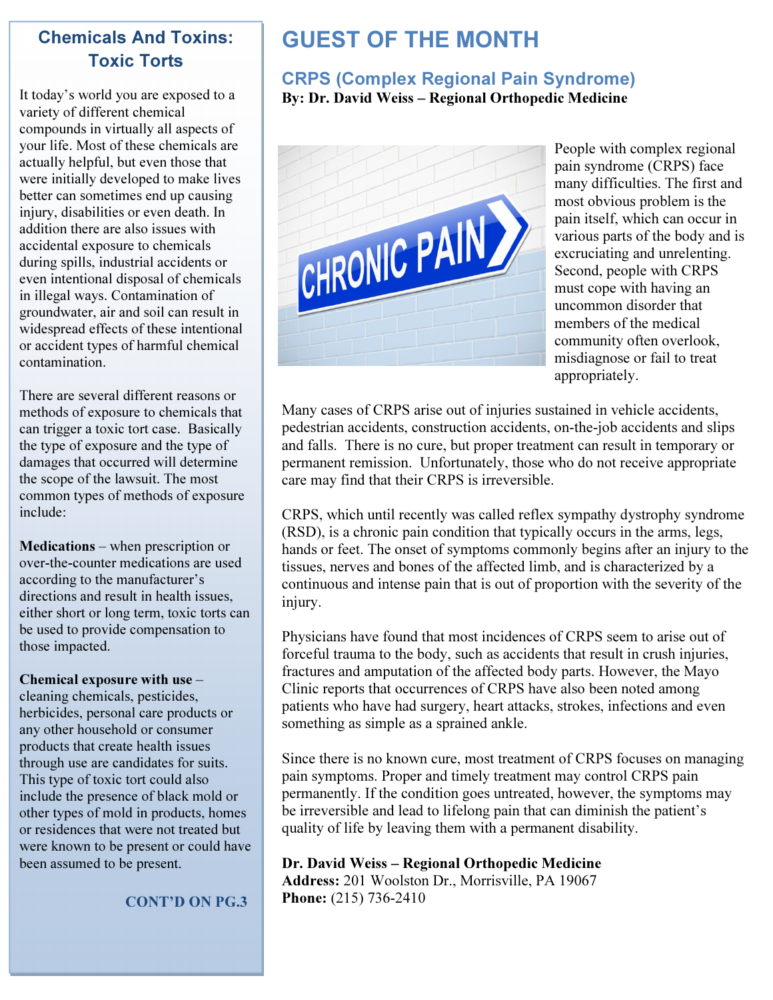## Chemicals And Toxins: Toxic Torts

It today's world you are exposed to a variety of different chemical compounds in virtually all aspects of your life. Most of these chemicals are actually helpful, but even those that were initially developed to make lives better can sometimes end up causing injury, disabilities or even death. In addition there are also issues with accidental exposure to chemicals during spills, industrial accidents or even intentional disposal of chemicals in illegal ways. Contamination of groundwater, air and soil can result in widespread effects of these intentional or accident types of harmful chemical contamination.

There are several different reasons or methods of exposure to chemicals that can trigger a toxic tort case. Basically the type of exposure and the type of damages that occurred will determine the scope of the lawsuit. The most common types of methods of exposure include:

Medications – when prescription or over-the-counter medications are used according to the manufacturer's directions and result in health issues, either short or long term, toxic torts can be used to provide compensation to those impacted.

#### Chemical exposure with use –

cleaning chemicals, pesticides, herbicides, personal care products or any other household or consumer products that create health issues through use are candidates for suits. This type of toxic tort could also include the presence of black mold or other types of mold in products, homes or residences that were not treated but were known to be present or could have been assumed to be present.

CONT'D ON PG.3

# GUEST OF THE MONTH

### CRPS (Complex Regional Pain Syndrome) By: Dr. David Weiss – Regional Orthopedic Medicine



People with complex regional pain syndrome (CRPS) face many difficulties. The first and most obvious problem is the pain itself, which can occur in various parts of the body and is excruciating and unrelenting. Second, people with CRPS must cope with having an uncommon disorder that members of the medical community often overlook, misdiagnose or fail to treat appropriately.

Many cases of CRPS arise out of injuries sustained in vehicle accidents, pedestrian accidents, construction accidents, on-the-job accidents and slips and falls. There is no cure, but proper treatment can result in temporary or permanent remission. Unfortunately, those who do not receive appropriate care may find that their CRPS is irreversible.

CRPS, which until recently was called reflex sympathy dystrophy syndrome (RSD), is a chronic pain condition that typically occurs in the arms, legs, hands or feet. The onset of symptoms commonly begins after an injury to the tissues, nerves and bones of the affected limb, and is characterized by a continuous and intense pain that is out of proportion with the severity of the injury.

Physicians have found that most incidences of CRPS seem to arise out of forceful trauma to the body, such as accidents that result in crush injuries, fractures and amputation of the affected body parts. However, the Mayo Clinic reports that occurrences of CRPS have also been noted among patients who have had surgery, heart attacks, strokes, infections and even something as simple as a sprained ankle.

Since there is no known cure, most treatment of CRPS focuses on managing pain symptoms. Proper and timely treatment may control CRPS pain permanently. If the condition goes untreated, however, the symptoms may be irreversible and lead to lifelong pain that can diminish the patient's quality of life by leaving them with a permanent disability.

### Dr. David Weiss – Regional Orthopedic Medicine Address: 201 Woolston Dr., Morrisville, PA 19067 Phone: (215) 736-2410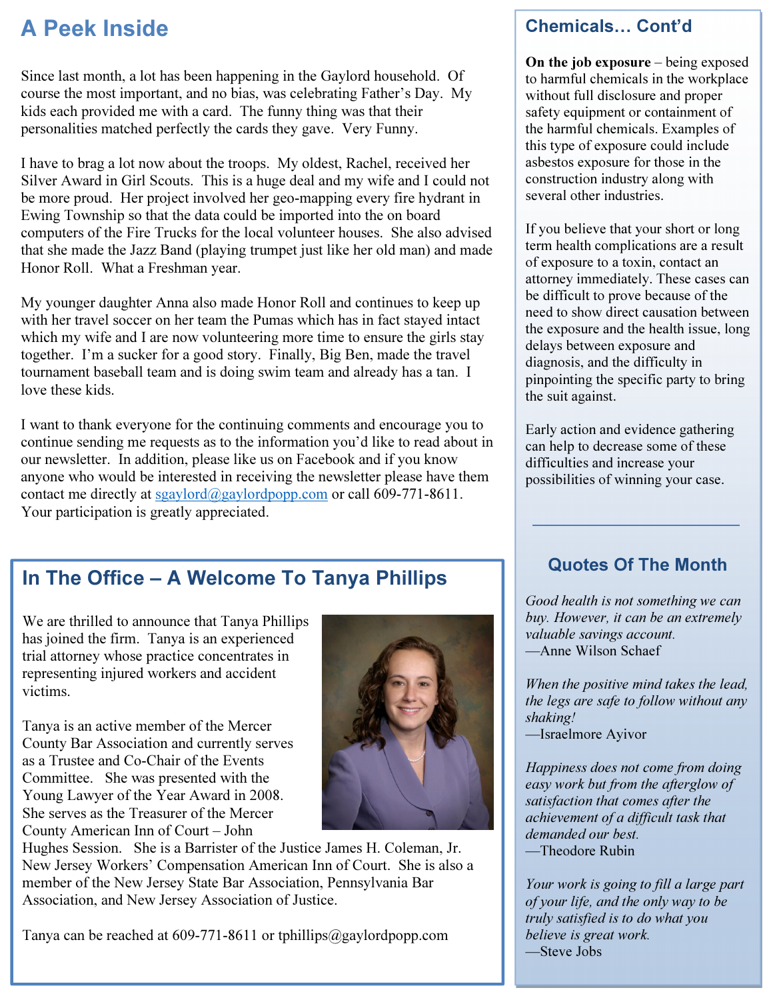# A Peek Inside

Since last month, a lot has been happening in the Gaylord household. Of course the most important, and no bias, was celebrating Father's Day. My kids each provided me with a card. The funny thing was that their personalities matched perfectly the cards they gave. Very Funny.

I have to brag a lot now about the troops. My oldest, Rachel, received her Silver Award in Girl Scouts. This is a huge deal and my wife and I could not be more proud. Her project involved her geo-mapping every fire hydrant in Ewing Township so that the data could be imported into the on board computers of the Fire Trucks for the local volunteer houses. She also advised that she made the Jazz Band (playing trumpet just like her old man) and made Honor Roll. What a Freshman year.

My younger daughter Anna also made Honor Roll and continues to keep up with her travel soccer on her team the Pumas which has in fact stayed intact which my wife and I are now volunteering more time to ensure the girls stay together. I'm a sucker for a good story. Finally, Big Ben, made the travel tournament baseball team and is doing swim team and already has a tan. I love these kids.

I want to thank everyone for the continuing comments and encourage you to continue sending me requests as to the information you'd like to read about in our newsletter. In addition, please like us on Facebook and if you know anyone who would be interested in receiving the newsletter please have them contact me directly at sgaylord@gaylordpopp.com or call 609-771-8611. Your participation is greatly appreciated.

# In The Office – A Welcome To Tanya Phillips

We are thrilled to announce that Tanya Phillips has joined the firm. Tanya is an experienced trial attorney whose practice concentrates in representing injured workers and accident victims.

Tanya is an active member of the Mercer County Bar Association and currently serves as a Trustee and Co-Chair of the Events Committee. She was presented with the Young Lawyer of the Year Award in 2008. She serves as the Treasurer of the Mercer County American Inn of Court – John



Hughes Session. She is a Barrister of the Justice James H. Coleman, Jr. New Jersey Workers' Compensation American Inn of Court. She is also a member of the New Jersey State Bar Association, Pennsylvania Bar Association, and New Jersey Association of Justice.

Tanya can be reached at 609-771-8611 or tphillips@gaylordpopp.com

### Chemicals... Cont'd

On the job exposure – being exposed to harmful chemicals in the workplace without full disclosure and proper safety equipment or containment of the harmful chemicals. Examples of this type of exposure could include asbestos exposure for those in the construction industry along with several other industries.

If you believe that your short or long term health complications are a result of exposure to a toxin, contact an attorney immediately. These cases can be difficult to prove because of the need to show direct causation between the exposure and the health issue, long delays between exposure and diagnosis, and the difficulty in pinpointing the specific party to bring the suit against.

Early action and evidence gathering can help to decrease some of these difficulties and increase your possibilities of winning your case.

### Quotes Of The Month

Good health is not something we can buy. However, it can be an extremely valuable savings account. —Anne Wilson Schaef

When the positive mind takes the lead, the legs are safe to follow without any shaking! —Israelmore Ayivor

Happiness does not come from doing easy work but from the afterglow of satisfaction that comes after the achievement of a difficult task that demanded our best. —Theodore Rubin

Your work is going to fill a large part of your life, and the only way to be truly satisfied is to do what you believe is great work. —Steve Jobs